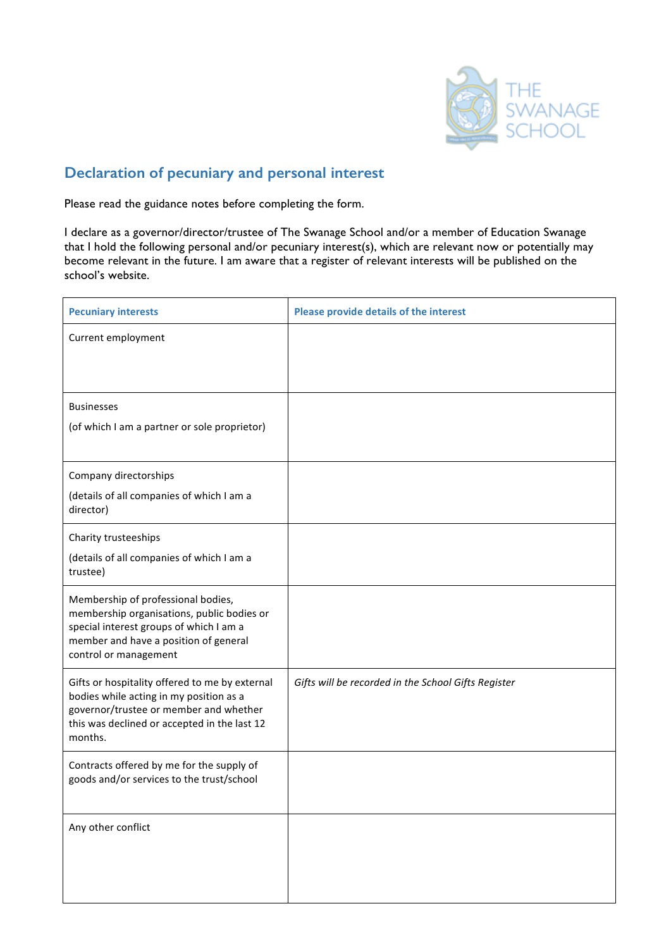

# **Declaration of pecuniary and personal interest**

Please read the guidance notes before completing the form.

I declare as a governor/director/trustee of The Swanage School and/or a member of Education Swanage that I hold the following personal and/or pecuniary interest(s), which are relevant now or potentially may become relevant in the future. I am aware that a register of relevant interests will be published on the school's website.

| <b>Pecuniary interests</b>                                                                                | Please provide details of the interest              |
|-----------------------------------------------------------------------------------------------------------|-----------------------------------------------------|
| Current employment                                                                                        |                                                     |
|                                                                                                           |                                                     |
| <b>Businesses</b>                                                                                         |                                                     |
| (of which I am a partner or sole proprietor)                                                              |                                                     |
| Company directorships                                                                                     |                                                     |
| (details of all companies of which I am a<br>director)                                                    |                                                     |
| Charity trusteeships                                                                                      |                                                     |
| (details of all companies of which I am a<br>trustee)                                                     |                                                     |
| Membership of professional bodies,<br>membership organisations, public bodies or                          |                                                     |
| special interest groups of which I am a<br>member and have a position of general<br>control or management |                                                     |
| Gifts or hospitality offered to me by external<br>bodies while acting in my position as a                 | Gifts will be recorded in the School Gifts Register |
| governor/trustee or member and whether<br>this was declined or accepted in the last 12<br>months.         |                                                     |
| Contracts offered by me for the supply of<br>goods and/or services to the trust/school                    |                                                     |
|                                                                                                           |                                                     |
| Any other conflict                                                                                        |                                                     |
|                                                                                                           |                                                     |
|                                                                                                           |                                                     |
|                                                                                                           |                                                     |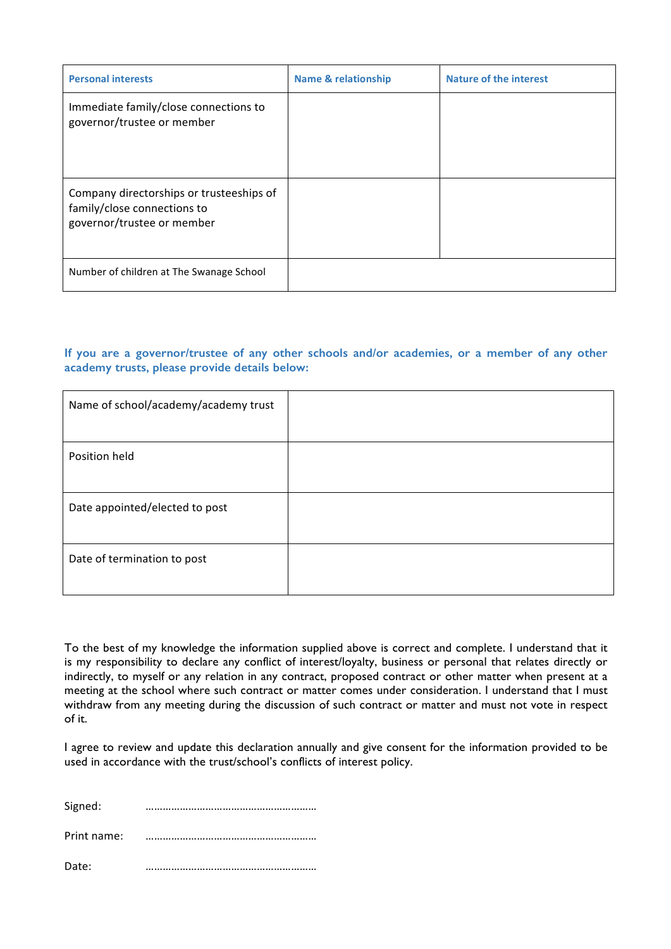| <b>Personal interests</b>                                                                             | <b>Name &amp; relationship</b> | <b>Nature of the interest</b> |
|-------------------------------------------------------------------------------------------------------|--------------------------------|-------------------------------|
| Immediate family/close connections to<br>governor/trustee or member                                   |                                |                               |
| Company directorships or trusteeships of<br>family/close connections to<br>governor/trustee or member |                                |                               |
| Number of children at The Swanage School                                                              |                                |                               |

### **If you are a governor/trustee of any other schools and/or academies, or a member of any other academy trusts, please provide details below:**

| Name of school/academy/academy trust |  |
|--------------------------------------|--|
| Position held                        |  |
| Date appointed/elected to post       |  |
| Date of termination to post          |  |

To the best of my knowledge the information supplied above is correct and complete. I understand that it is my responsibility to declare any conflict of interest/loyalty, business or personal that relates directly or indirectly, to myself or any relation in any contract, proposed contract or other matter when present at a meeting at the school where such contract or matter comes under consideration. I understand that I must withdraw from any meeting during the discussion of such contract or matter and must not vote in respect of it.

I agree to review and update this declaration annually and give consent for the information provided to be used in accordance with the trust/school's conflicts of interest policy.

| Signed:     |  |
|-------------|--|
| Print name: |  |
| Date:       |  |